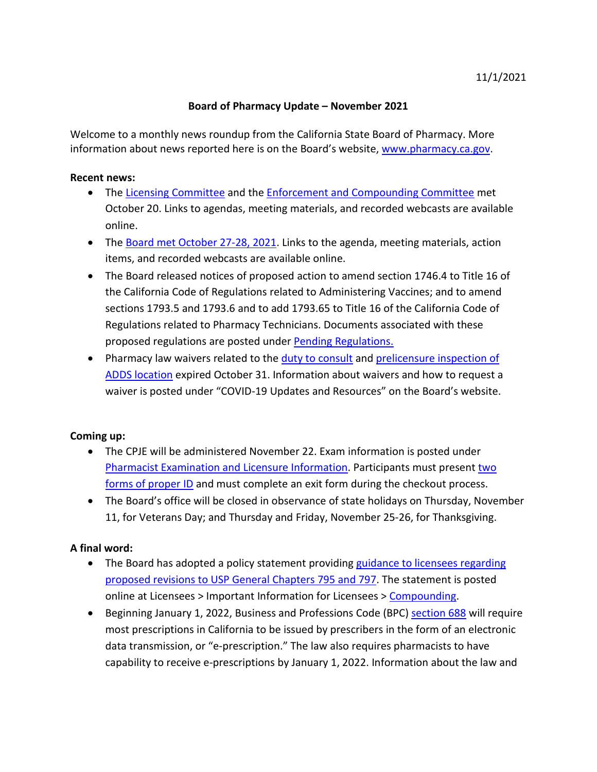## **Board of Pharmacy Update – November 2021**

information about news reported here is on the Board's website, [www.pharmacy.ca.gov.](http://www.pharmacy.ca.gov/) Welcome to a monthly news roundup from the California State Board of Pharmacy. More

## **Recent news:**

- The [Licensing Committee](https://www.pharmacy.ca.gov/about/meetings_licensing.shtml) and the [Enforcement and Compounding Committee](https://www.pharmacy.ca.gov/about/meetings_enforcement.shtml) met October 20. Links to agendas, meeting materials, and recorded webcasts are available online.
- The [Board met October 27-28, 2021.](https://www.pharmacy.ca.gov/about/meetings_full.shtml) Links to the agenda, meeting materials, action items, and recorded webcasts are available online.
- • The Board released notices of proposed action to amend section 1746.4 to Title 16 of sections 1793.5 and 1793.6 and to add 1793.65 to Title 16 of the California Code of Regulations related to Pharmacy Technicians. Documents associated with these the California Code of Regulations related to Administering Vaccines; and to amend proposed regulations are posted under [Pending Regulations.](https://www.pharmacy.ca.gov/laws_regs/pending_regs.shtml)
- Pharmacy law waivers related to the [duty to consult](https://www.pharmacy.ca.gov/licensees/waivers/1707_2_a.shtml) an[d prelicensure inspection of](https://www.pharmacy.ca.gov/licensees/waivers/4119_11_a_9.shtml) [ADDS location](https://www.pharmacy.ca.gov/licensees/waivers/4119_11_a_9.shtml) expired October 31. Information about waivers and how to request a waiver is posted under "COVID-19 Updates and Resources" on the Board's website.

## **Coming up:**

- • The CPJE will be administered November 22. Exam information is posted under [Pharmacist Examination and Licensure Information.](https://www.pharmacy.ca.gov/applicants/rph.shtml) Participants must present [two](https://www.pharmacy.ca.gov/forms/exam_id_info.pdf) [forms of proper ID](https://www.pharmacy.ca.gov/forms/exam_id_info.pdf) and must complete an exit form during the checkout process.
- The Board's office will be closed in observance of state holidays on Thursday, November 11, for Veterans Day; and Thursday and Friday, November 25-26, for Thanksgiving.

## **A final word:**

- [proposed revisions to USP General Chapters 795 and 797.](https://www.pharmacy.ca.gov/licensees/usp_795_797_guidance.pdf) The statement is posted • The Board has adopted a policy statement providing [guidance to licensees regarding](https://www.pharmacy.ca.gov/licensees/usp_795_797_guidance.pdf) online at Licensees > Important Information for Licensees > [Compounding.](https://www.pharmacy.ca.gov/licensees/compounding.shtml)
- data transmission, or "e-prescription." The law also requires pharmacists to have • Beginning January 1, 2022, Business and Professions Code (BPC) [section 688](https://leginfo.legislature.ca.gov/faces/codes_displaySection.xhtml?sectionNum=688.&lawCode=BPC) will require most prescriptions in California to be issued by prescribers in the form of an electronic capability to receive e-prescriptions by January 1, 2022. Information about the law and